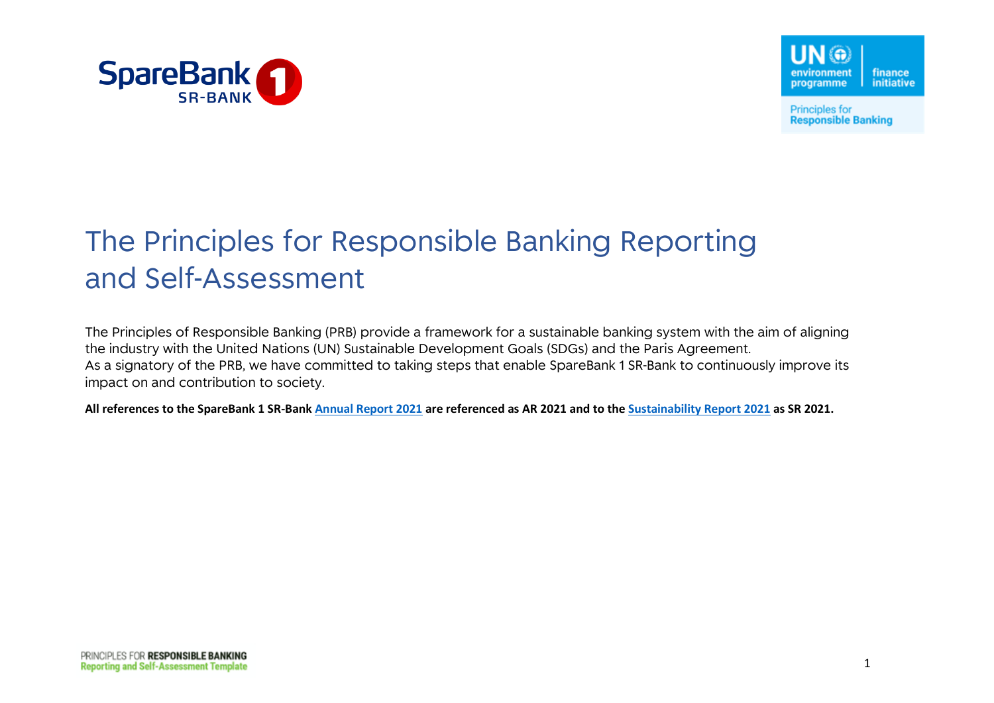



**Principles for Responsible Banking** 

## The Principles for Responsible Banking Reporting and Self-Assessment

The Principles of Responsible Banking (PRB) provide a framework for a sustainable banking system with the aim of aligning the industry with the United Nations (UN) Sustainable Development Goals (SDGs) and the Paris Agreement. As a signatory of the PRB, we have committed to taking steps that enable SpareBank 1 SR-Bank to continuously improve its impact on and contribution to society.

**All references to the SpareBank 1 SR-Ban[k Annual Report 2021](https://www.sparebank1.no/content/dam/SB1/bank/sr-bank/english/about-us/Social-responsibilty/SpareBank_1_SR-Bank_Sustainability_Report2021.pdf) are referenced as AR 2021 and to the [Sustainability Report 2021](https://www.sparebank1.no/content/dam/SB1/bank/sr-bank/english/about-us/Social-responsibilty/SpareBank_1_SR-Bank_Sustainability_Report_2021.pdf) as SR 2021.**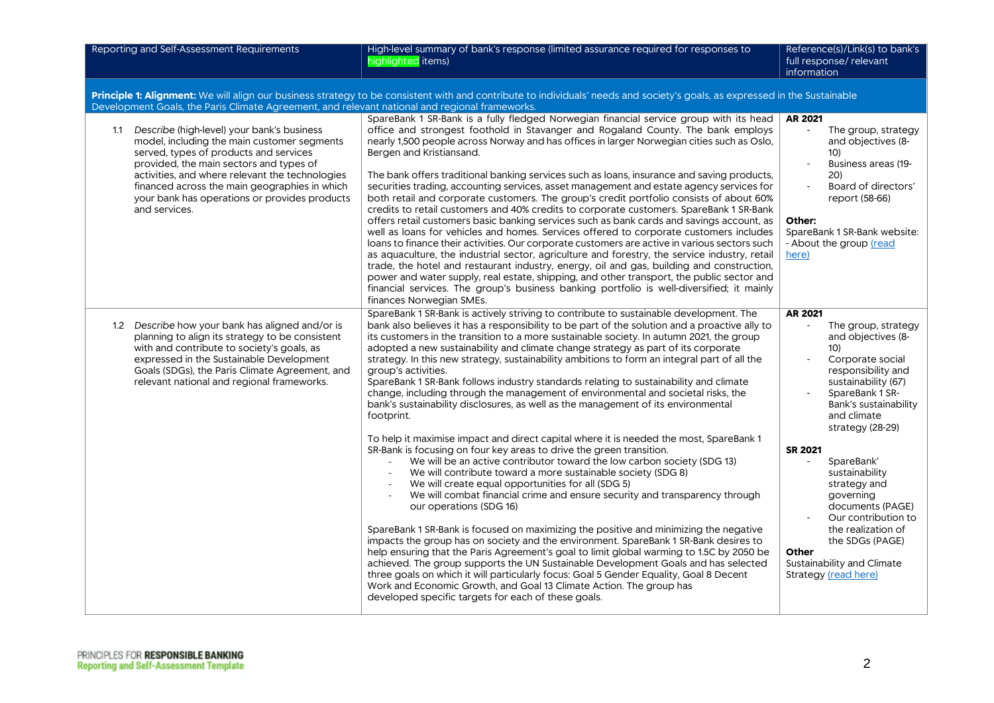| Reporting and Self-Assessment Requirements                                                                                                                                                                                                                                                                                                               | High-level summary of bank's response (limited assurance required for responses to<br>highlighted items)                                                                                                                                                                                                                                                                                                                                                                                                                                                                                                                                                                                                                                                                                                                                                                                                                                                                                                                                                                                                                                                                                                                                                                                                                                                                                         | Reference(s)/Link(s) to bank's<br>full response/ relevant<br>information                                                                                                                                                          |  |  |
|----------------------------------------------------------------------------------------------------------------------------------------------------------------------------------------------------------------------------------------------------------------------------------------------------------------------------------------------------------|--------------------------------------------------------------------------------------------------------------------------------------------------------------------------------------------------------------------------------------------------------------------------------------------------------------------------------------------------------------------------------------------------------------------------------------------------------------------------------------------------------------------------------------------------------------------------------------------------------------------------------------------------------------------------------------------------------------------------------------------------------------------------------------------------------------------------------------------------------------------------------------------------------------------------------------------------------------------------------------------------------------------------------------------------------------------------------------------------------------------------------------------------------------------------------------------------------------------------------------------------------------------------------------------------------------------------------------------------------------------------------------------------|-----------------------------------------------------------------------------------------------------------------------------------------------------------------------------------------------------------------------------------|--|--|
| Principle 1: Alignment: We will align our business strategy to be consistent with and contribute to individuals' needs and society's goals, as expressed in the Sustainable<br>Development Goals, the Paris Climate Agreement, and relevant national and regional frameworks.                                                                            |                                                                                                                                                                                                                                                                                                                                                                                                                                                                                                                                                                                                                                                                                                                                                                                                                                                                                                                                                                                                                                                                                                                                                                                                                                                                                                                                                                                                  |                                                                                                                                                                                                                                   |  |  |
| 1.1 Describe (high-level) your bank's business<br>model, including the main customer segments<br>served, types of products and services<br>provided, the main sectors and types of<br>activities, and where relevant the technologies<br>financed across the main geographies in which<br>your bank has operations or provides products<br>and services. | SpareBank 1 SR-Bank is a fully fledged Norwegian financial service group with its head<br>office and strongest foothold in Stavanger and Rogaland County. The bank employs<br>nearly 1,500 people across Norway and has offices in larger Norwegian cities such as Oslo,<br>Bergen and Kristiansand.<br>The bank offers traditional banking services such as loans, insurance and saving products,<br>securities trading, accounting services, asset management and estate agency services for<br>both retail and corporate customers. The group's credit portfolio consists of about 60%<br>credits to retail customers and 40% credits to corporate customers. SpareBank 1 SR-Bank<br>offers retail customers basic banking services such as bank cards and savings account, as<br>well as loans for vehicles and homes. Services offered to corporate customers includes<br>loans to finance their activities. Our corporate customers are active in various sectors such<br>as aquaculture, the industrial sector, agriculture and forestry, the service industry, retail<br>trade, the hotel and restaurant industry, energy, oil and gas, building and construction,<br>power and water supply, real estate, shipping, and other transport, the public sector and<br>financial services. The group's business banking portfolio is well-diversified; it mainly<br>finances Norwegian SMEs. | <b>AR 2021</b><br>The group, strategy<br>$\sim$<br>and objectives (8-<br>10)<br>Business areas (19-<br>20)<br>Board of directors'<br>report (58-66)<br>Other:<br>SpareBank 1 SR-Bank website:<br>- About the group (read<br>here) |  |  |
| 1.2 Describe how your bank has aligned and/or is<br>planning to align its strategy to be consistent<br>with and contribute to society's goals, as<br>expressed in the Sustainable Development<br>Goals (SDGs), the Paris Climate Agreement, and<br>relevant national and regional frameworks.                                                            | SpareBank 1 SR-Bank is actively striving to contribute to sustainable development. The<br>bank also believes it has a responsibility to be part of the solution and a proactive ally to<br>its customers in the transition to a more sustainable society. In autumn 2021, the group<br>adopted a new sustainability and climate change strategy as part of its corporate<br>strategy. In this new strategy, sustainability ambitions to form an integral part of all the<br>group's activities.<br>SpareBank 1 SR-Bank follows industry standards relating to sustainability and climate<br>change, including through the management of environmental and societal risks, the<br>bank's sustainability disclosures, as well as the management of its environmental<br>footprint.                                                                                                                                                                                                                                                                                                                                                                                                                                                                                                                                                                                                                 | AR 2021<br>The group, strategy<br>and objectives (8-<br>10)<br>Corporate social<br>responsibility and<br>sustainability (67)<br>SpareBank 1 SR-<br>Bank's sustainability<br>and climate<br>strategy (28-29)                       |  |  |
|                                                                                                                                                                                                                                                                                                                                                          | To help it maximise impact and direct capital where it is needed the most, SpareBank 1<br>SR-Bank is focusing on four key areas to drive the green transition.<br>We will be an active contributor toward the low carbon society (SDG 13)<br>We will contribute toward a more sustainable society (SDG 8)<br>We will create equal opportunities for all (SDG 5)<br>We will combat financial crime and ensure security and transparency through<br>our operations (SDG 16)<br>SpareBank 1 SR-Bank is focused on maximizing the positive and minimizing the negative<br>impacts the group has on society and the environment. SpareBank 1 SR-Bank desires to<br>help ensuring that the Paris Agreement's goal to limit global warming to 1.5C by 2050 be<br>achieved. The group supports the UN Sustainable Development Goals and has selected<br>three goals on which it will particularly focus: Goal 5 Gender Equality, Goal 8 Decent<br>Work and Economic Growth, and Goal 13 Climate Action. The group has<br>developed specific targets for each of these goals.                                                                                                                                                                                                                                                                                                                             | <b>SR 2021</b><br>SpareBank'<br>sustainability<br>strategy and<br>governing<br>documents (PAGE)<br>Our contribution to<br>the realization of<br>the SDGs (PAGE)<br>Other<br>Sustainability and Climate<br>Strategy (read here)    |  |  |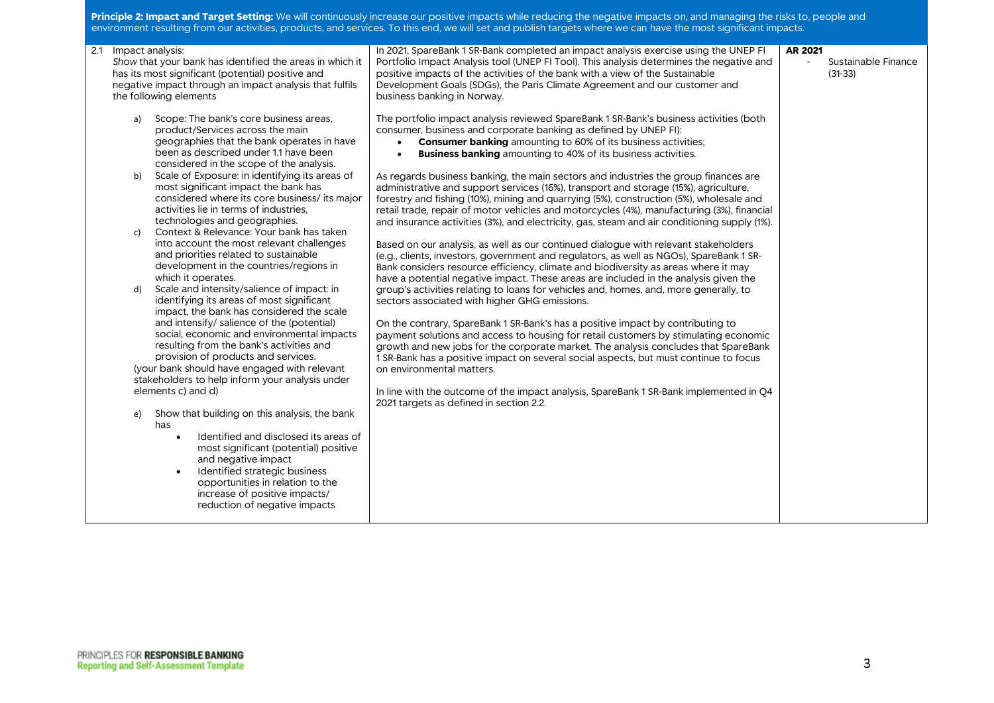**Principle 2: Impact and Target Setting:** We will continuously increase our positive impacts while reducing the negative impacts on, and managing the risks to, people and environment resulting from our activities, products, and services. To this end, we will set and publish targets where we can have the most significant impacts.

| 2.1 | Impact analysis:<br>Show that your bank has identified the areas in which it                                                                                                                                                                                                                                                         | In 2021, SpareBank 1 SR-Bank completed an impact analysis exercise using the UNEP FI<br>Portfolio Impact Analysis tool (UNEP FI Tool). This analysis determines the negative and                                                                                                                                                                                                                                                                                                                  | <b>AR 2021</b> | Sustainable Finance |
|-----|--------------------------------------------------------------------------------------------------------------------------------------------------------------------------------------------------------------------------------------------------------------------------------------------------------------------------------------|---------------------------------------------------------------------------------------------------------------------------------------------------------------------------------------------------------------------------------------------------------------------------------------------------------------------------------------------------------------------------------------------------------------------------------------------------------------------------------------------------|----------------|---------------------|
|     | has its most significant (potential) positive and<br>negative impact through an impact analysis that fulfils<br>the following elements                                                                                                                                                                                               | positive impacts of the activities of the bank with a view of the Sustainable<br>Development Goals (SDGs), the Paris Climate Agreement and our customer and<br>business banking in Norway.                                                                                                                                                                                                                                                                                                        |                | $(31-33)$           |
|     | Scope: The bank's core business areas,<br>a)<br>product/Services across the main<br>geographies that the bank operates in have<br>been as described under 1.1 have been<br>considered in the scope of the analysis.                                                                                                                  | The portfolio impact analysis reviewed SpareBank 1 SR-Bank's business activities (both<br>consumer, business and corporate banking as defined by UNEP FI):<br><b>Consumer banking</b> amounting to 60% of its business activities;<br>$\bullet$<br><b>Business banking</b> amounting to 40% of its business activities.<br>$\bullet$                                                                                                                                                              |                |                     |
|     | Scale of Exposure: in identifying its areas of<br>b)<br>most significant impact the bank has<br>considered where its core business/ its major<br>activities lie in terms of industries.<br>technologies and geographies.                                                                                                             | As regards business banking, the main sectors and industries the group finances are<br>administrative and support services (16%), transport and storage (15%), agriculture,<br>forestry and fishing (10%), mining and quarrying (5%), construction (5%), wholesale and<br>retail trade, repair of motor vehicles and motorcycles (4%), manufacturing (3%), financial<br>and insurance activities (3%), and electricity, gas, steam and air conditioning supply (1%).                              |                |                     |
|     | Context & Relevance: Your bank has taken<br>c)<br>into account the most relevant challenges<br>and priorities related to sustainable<br>development in the countries/regions in<br>which it operates.                                                                                                                                | Based on our analysis, as well as our continued dialogue with relevant stakeholders<br>(e.g., clients, investors, government and regulators, as well as NGOs), SpareBank 1 SR-<br>Bank considers resource efficiency, climate and biodiversity as areas where it may<br>have a potential negative impact. These areas are included in the analysis given the                                                                                                                                      |                |                     |
|     | Scale and intensity/salience of impact: in<br>d)<br>identifying its areas of most significant<br>impact, the bank has considered the scale<br>and intensify/ salience of the (potential)<br>social, economic and environmental impacts<br>resulting from the bank's activities and<br>provision of products and services.            | group's activities relating to loans for vehicles and, homes, and, more generally, to<br>sectors associated with higher GHG emissions.<br>On the contrary, SpareBank 1 SR-Bank's has a positive impact by contributing to<br>payment solutions and access to housing for retail customers by stimulating economic<br>growth and new jobs for the corporate market. The analysis concludes that SpareBank<br>1 SR-Bank has a positive impact on several social aspects, but must continue to focus |                |                     |
|     | (your bank should have engaged with relevant                                                                                                                                                                                                                                                                                         | on environmental matters.                                                                                                                                                                                                                                                                                                                                                                                                                                                                         |                |                     |
|     | stakeholders to help inform your analysis under<br>elements c) and d)                                                                                                                                                                                                                                                                | In line with the outcome of the impact analysis, SpareBank 1 SR-Bank implemented in Q4<br>2021 targets as defined in section 2.2.                                                                                                                                                                                                                                                                                                                                                                 |                |                     |
|     | Show that building on this analysis, the bank<br>e)<br>has<br>Identified and disclosed its areas of<br>$\bullet$<br>most significant (potential) positive<br>and negative impact<br>Identified strategic business<br>$\bullet$<br>opportunities in relation to the<br>increase of positive impacts/<br>reduction of negative impacts |                                                                                                                                                                                                                                                                                                                                                                                                                                                                                                   |                |                     |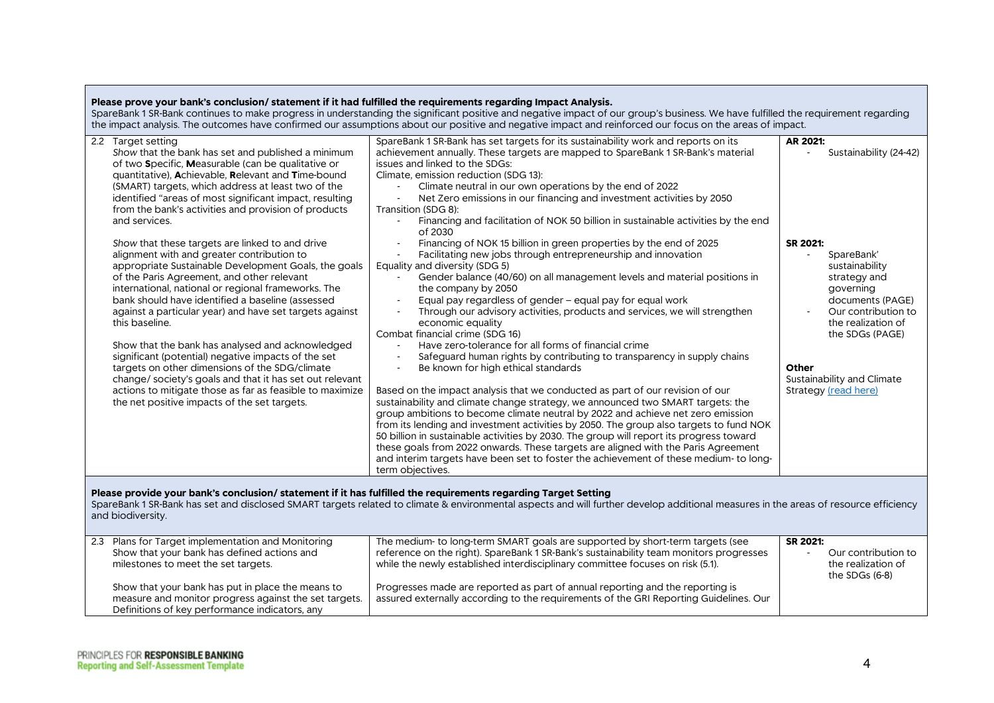| Please prove your bank's conclusion/ statement if it had fulfilled the requirements regarding Impact Analysis.                                                                                                                                                                                                                                                                                                                                                                                                                                                                                                                                                                                                                                                                                                                                                                                                                                                                                                                                                                                                     | SpareBank 1 SR-Bank continues to make progress in understanding the significant positive and negative impact of our group's business. We have fulfilled the requirement regarding<br>the impact analysis. The outcomes have confirmed our assumptions about our positive and negative impact and reinforced our focus on the areas of impact.                                                                                                                                                                                                                                                                                                                                                                                                                                                                                                                                                                                                                                                                                                                                                                                                                                                                                                                                                                                                                                                                                                                                                                                                                                                                                                                                                                                                                                                                                                                      |                                                                                                                                                                                                                                                                |
|--------------------------------------------------------------------------------------------------------------------------------------------------------------------------------------------------------------------------------------------------------------------------------------------------------------------------------------------------------------------------------------------------------------------------------------------------------------------------------------------------------------------------------------------------------------------------------------------------------------------------------------------------------------------------------------------------------------------------------------------------------------------------------------------------------------------------------------------------------------------------------------------------------------------------------------------------------------------------------------------------------------------------------------------------------------------------------------------------------------------|--------------------------------------------------------------------------------------------------------------------------------------------------------------------------------------------------------------------------------------------------------------------------------------------------------------------------------------------------------------------------------------------------------------------------------------------------------------------------------------------------------------------------------------------------------------------------------------------------------------------------------------------------------------------------------------------------------------------------------------------------------------------------------------------------------------------------------------------------------------------------------------------------------------------------------------------------------------------------------------------------------------------------------------------------------------------------------------------------------------------------------------------------------------------------------------------------------------------------------------------------------------------------------------------------------------------------------------------------------------------------------------------------------------------------------------------------------------------------------------------------------------------------------------------------------------------------------------------------------------------------------------------------------------------------------------------------------------------------------------------------------------------------------------------------------------------------------------------------------------------|----------------------------------------------------------------------------------------------------------------------------------------------------------------------------------------------------------------------------------------------------------------|
| 2.2 Target setting<br>Show that the bank has set and published a minimum<br>of two Specific, Measurable (can be qualitative or<br>quantitative), Achievable, Relevant and Time-bound<br>(SMART) targets, which address at least two of the<br>identified "areas of most significant impact, resulting<br>from the bank's activities and provision of products<br>and services.<br>Show that these targets are linked to and drive<br>alignment with and greater contribution to<br>appropriate Sustainable Development Goals, the goals<br>of the Paris Agreement, and other relevant<br>international, national or regional frameworks. The<br>bank should have identified a baseline (assessed<br>against a particular year) and have set targets against<br>this baseline.<br>Show that the bank has analysed and acknowledged<br>significant (potential) negative impacts of the set<br>targets on other dimensions of the SDG/climate<br>change/ society's goals and that it has set out relevant<br>actions to mitigate those as far as feasible to maximize<br>the net positive impacts of the set targets. | SpareBank 1 SR-Bank has set targets for its sustainability work and reports on its<br>achievement annually. These targets are mapped to SpareBank 1 SR-Bank's material<br>issues and linked to the SDGs:<br>Climate, emission reduction (SDG 13):<br>Climate neutral in our own operations by the end of 2022<br>Net Zero emissions in our financing and investment activities by 2050<br>$\sim$<br>Transition (SDG 8):<br>Financing and facilitation of NOK 50 billion in sustainable activities by the end<br>$\blacksquare$<br>of 2030<br>Financing of NOK 15 billion in green properties by the end of 2025<br>Facilitating new jobs through entrepreneurship and innovation<br>Equality and diversity (SDG 5)<br>Gender balance (40/60) on all management levels and material positions in<br>the company by 2050<br>Equal pay regardless of gender - equal pay for equal work<br>Through our advisory activities, products and services, we will strengthen<br>economic equality<br>Combat financial crime (SDG 16)<br>Have zero-tolerance for all forms of financial crime<br>Safeguard human rights by contributing to transparency in supply chains<br>$\overline{a}$<br>Be known for high ethical standards<br>Based on the impact analysis that we conducted as part of our revision of our<br>sustainability and climate change strategy, we announced two SMART targets: the<br>group ambitions to become climate neutral by 2022 and achieve net zero emission<br>from its lending and investment activities by 2050. The group also targets to fund NOK<br>50 billion in sustainable activities by 2030. The group will report its progress toward<br>these goals from 2022 onwards. These targets are aligned with the Paris Agreement<br>and interim targets have been set to foster the achievement of these medium-to long-<br>term objectives. | AR 2021:<br>Sustainability (24-42)<br>SR 2021:<br>SpareBank'<br>sustainability<br>strategy and<br>governing<br>documents (PAGE)<br>Our contribution to<br>the realization of<br>the SDGs (PAGE)<br>Other<br>Sustainability and Climate<br>Strategy (read here) |
| Please provide your bank's conclusion/ statement if it has fulfilled the requirements regarding Target Setting<br>and biodiversity.                                                                                                                                                                                                                                                                                                                                                                                                                                                                                                                                                                                                                                                                                                                                                                                                                                                                                                                                                                                | SpareBank 1 SR-Bank has set and disclosed SMART targets related to climate & environmental aspects and will further develop additional measures in the areas of resource efficiency                                                                                                                                                                                                                                                                                                                                                                                                                                                                                                                                                                                                                                                                                                                                                                                                                                                                                                                                                                                                                                                                                                                                                                                                                                                                                                                                                                                                                                                                                                                                                                                                                                                                                |                                                                                                                                                                                                                                                                |
| 2.3 Plans for Target implementation and Monitoring<br>Show that your bank has defined actions and<br>milestones to meet the set targets.<br>Show that your bank has put in place the means to<br>measure and monitor progress against the set targets.<br>Definitions of key performance indicators, any                                                                                                                                                                                                                                                                                                                                                                                                                                                                                                                                                                                                                                                                                                                                                                                                           | The medium- to long-term SMART goals are supported by short-term targets (see<br>reference on the right). SpareBank 1 SR-Bank's sustainability team monitors progresses<br>while the newly established interdisciplinary committee focuses on risk (5.1).<br>Progresses made are reported as part of annual reporting and the reporting is<br>assured externally according to the requirements of the GRI Reporting Guidelines. Our                                                                                                                                                                                                                                                                                                                                                                                                                                                                                                                                                                                                                                                                                                                                                                                                                                                                                                                                                                                                                                                                                                                                                                                                                                                                                                                                                                                                                                | SR 2021:<br>Our contribution to<br>the realization of<br>the SDGs (6-8)                                                                                                                                                                                        |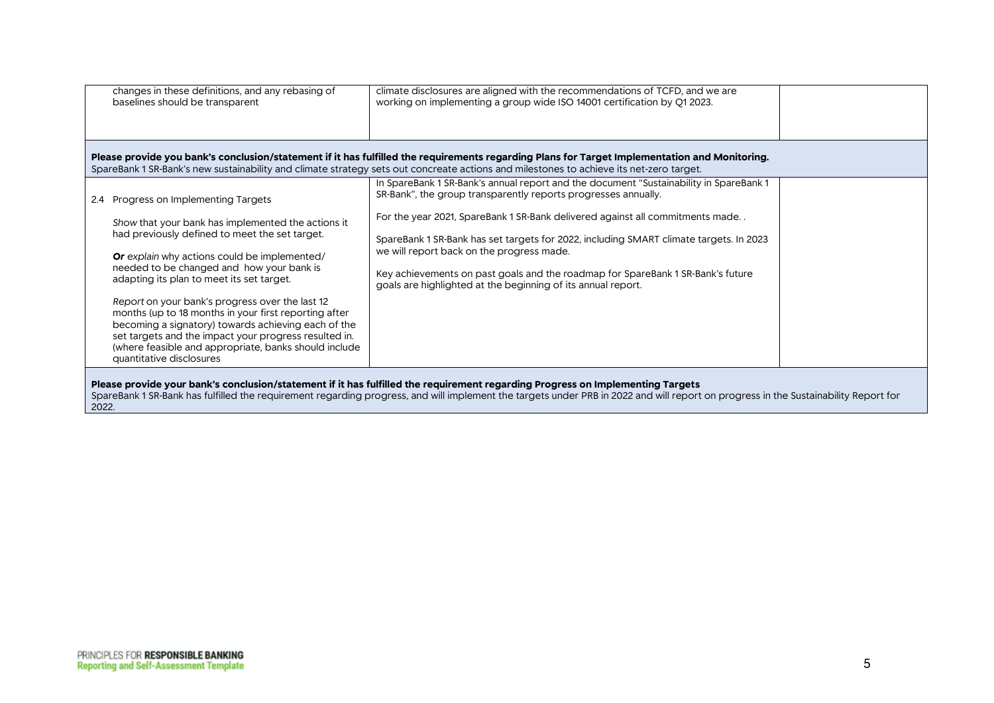| changes in these definitions, and any rebasing of<br>baselines should be transparent                                                                                                                                                                                                                                                                                                                                                                                                                                                                                        | climate disclosures are aligned with the recommendations of TCFD, and we are<br>working on implementing a group wide ISO 14001 certification by Q1 2023.                                                                                                                                                                                                                                                                                                                                                                            |  |
|-----------------------------------------------------------------------------------------------------------------------------------------------------------------------------------------------------------------------------------------------------------------------------------------------------------------------------------------------------------------------------------------------------------------------------------------------------------------------------------------------------------------------------------------------------------------------------|-------------------------------------------------------------------------------------------------------------------------------------------------------------------------------------------------------------------------------------------------------------------------------------------------------------------------------------------------------------------------------------------------------------------------------------------------------------------------------------------------------------------------------------|--|
|                                                                                                                                                                                                                                                                                                                                                                                                                                                                                                                                                                             | Please provide you bank's conclusion/statement if it has fulfilled the requirements regarding Plans for Target Implementation and Monitoring.<br>SpareBank 1 SR-Bank's new sustainability and climate strategy sets out concreate actions and milestones to achieve its net-zero target.                                                                                                                                                                                                                                            |  |
| 2.4 Progress on Implementing Targets<br>Show that your bank has implemented the actions it<br>had previously defined to meet the set target.<br>Or explain why actions could be implemented/<br>needed to be changed and how your bank is<br>adapting its plan to meet its set target.<br>Report on your bank's progress over the last 12<br>months (up to 18 months in your first reporting after<br>becoming a signatory) towards achieving each of the<br>set targets and the impact your progress resulted in.<br>(where feasible and appropriate, banks should include | In SpareBank 1 SR-Bank's annual report and the document "Sustainability in SpareBank 1<br>SR-Bank", the group transparently reports progresses annually.<br>For the year 2021, SpareBank 1 SR-Bank delivered against all commitments made<br>SpareBank 1 SR-Bank has set targets for 2022, including SMART climate targets. In 2023<br>we will report back on the progress made.<br>Key achievements on past goals and the roadmap for SpareBank 1 SR-Bank's future<br>goals are highlighted at the beginning of its annual report. |  |
| quantitative disclosures<br>2022.                                                                                                                                                                                                                                                                                                                                                                                                                                                                                                                                           | Please provide your bank's conclusion/statement if it has fulfilled the requirement regarding Progress on Implementing Targets<br>SpareBank 1 SR-Bank has fulfilled the requirement regarding progress, and will implement the targets under PRB in 2022 and will report on progress in the Sustainability Report for                                                                                                                                                                                                               |  |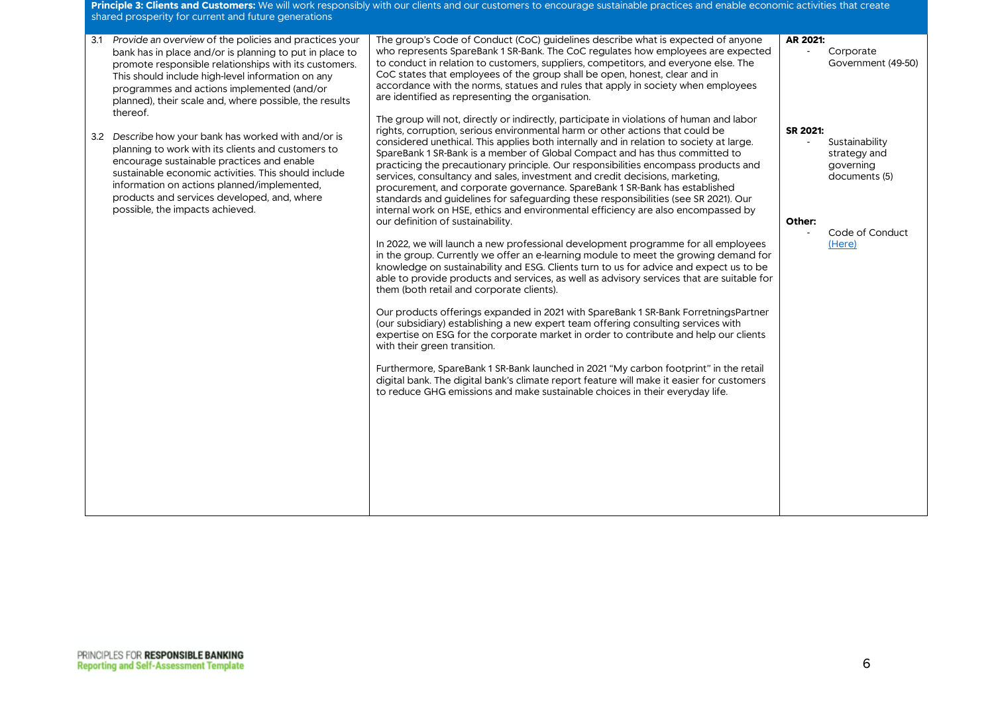**Principle 3: Clients and Customers:** We will work responsibly with our clients and our customers to encourage sustainable practices and enable economic activities that create shared prosperity for current and future generations

| 3.1 | Provide an overview of the policies and practices your<br>bank has in place and/or is planning to put in place to<br>promote responsible relationships with its customers.<br>This should include high-level information on any<br>programmes and actions implemented (and/or                                                                                                                                           | The group's Code of Conduct (CoC) guidelines describe what is expected of anyone<br>who represents SpareBank 1 SR-Bank. The CoC requiates how employees are expected<br>to conduct in relation to customers, suppliers, competitors, and everyone else. The<br>CoC states that employees of the group shall be open, honest, clear and in<br>accordance with the norms, statues and rules that apply in society when employees<br>are identified as representing the organisation.                                                                                                                                                                                                                                                                                                                                                                                                                                                                                                                                                                                                                                                                                                                                                                                                                                                                                                                                                                                                                                                                                                                                                                                                                                                                                                                                     | AR 2021:           | Corporate<br>Government (49-50)                                                           |
|-----|-------------------------------------------------------------------------------------------------------------------------------------------------------------------------------------------------------------------------------------------------------------------------------------------------------------------------------------------------------------------------------------------------------------------------|------------------------------------------------------------------------------------------------------------------------------------------------------------------------------------------------------------------------------------------------------------------------------------------------------------------------------------------------------------------------------------------------------------------------------------------------------------------------------------------------------------------------------------------------------------------------------------------------------------------------------------------------------------------------------------------------------------------------------------------------------------------------------------------------------------------------------------------------------------------------------------------------------------------------------------------------------------------------------------------------------------------------------------------------------------------------------------------------------------------------------------------------------------------------------------------------------------------------------------------------------------------------------------------------------------------------------------------------------------------------------------------------------------------------------------------------------------------------------------------------------------------------------------------------------------------------------------------------------------------------------------------------------------------------------------------------------------------------------------------------------------------------------------------------------------------------|--------------------|-------------------------------------------------------------------------------------------|
|     | planned), their scale and, where possible, the results<br>thereof.<br>3.2 Describe how your bank has worked with and/or is<br>planning to work with its clients and customers to<br>encourage sustainable practices and enable<br>sustainable economic activities. This should include<br>information on actions planned/implemented,<br>products and services developed, and, where<br>possible, the impacts achieved. | The group will not, directly or indirectly, participate in violations of human and labor<br>rights, corruption, serious environmental harm or other actions that could be<br>considered unethical. This applies both internally and in relation to society at large.<br>SpareBank 1 SR-Bank is a member of Global Compact and has thus committed to<br>practicing the precautionary principle. Our responsibilities encompass products and<br>services, consultancy and sales, investment and credit decisions, marketing,<br>procurement, and corporate governance. SpareBank 1 SR-Bank has established<br>standards and guidelines for safeguarding these responsibilities (see SR 2021). Our<br>internal work on HSE, ethics and environmental efficiency are also encompassed by<br>our definition of sustainability.<br>In 2022, we will launch a new professional development programme for all employees<br>in the group. Currently we offer an e-learning module to meet the growing demand for<br>knowledge on sustainability and ESG. Clients turn to us for advice and expect us to be<br>able to provide products and services, as well as advisory services that are suitable for<br>them (both retail and corporate clients).<br>Our products offerings expanded in 2021 with SpareBank 1 SR-Bank ForretningsPartner<br>(our subsidiary) establishing a new expert team offering consulting services with<br>expertise on ESG for the corporate market in order to contribute and help our clients<br>with their green transition.<br>Furthermore, SpareBank 1 SR-Bank launched in 2021 "My carbon footprint" in the retail<br>digital bank. The digital bank's climate report feature will make it easier for customers<br>to reduce GHG emissions and make sustainable choices in their everyday life. | SR 2021:<br>Other: | Sustainability<br>strategy and<br>governing<br>documents (5)<br>Code of Conduct<br>(Here) |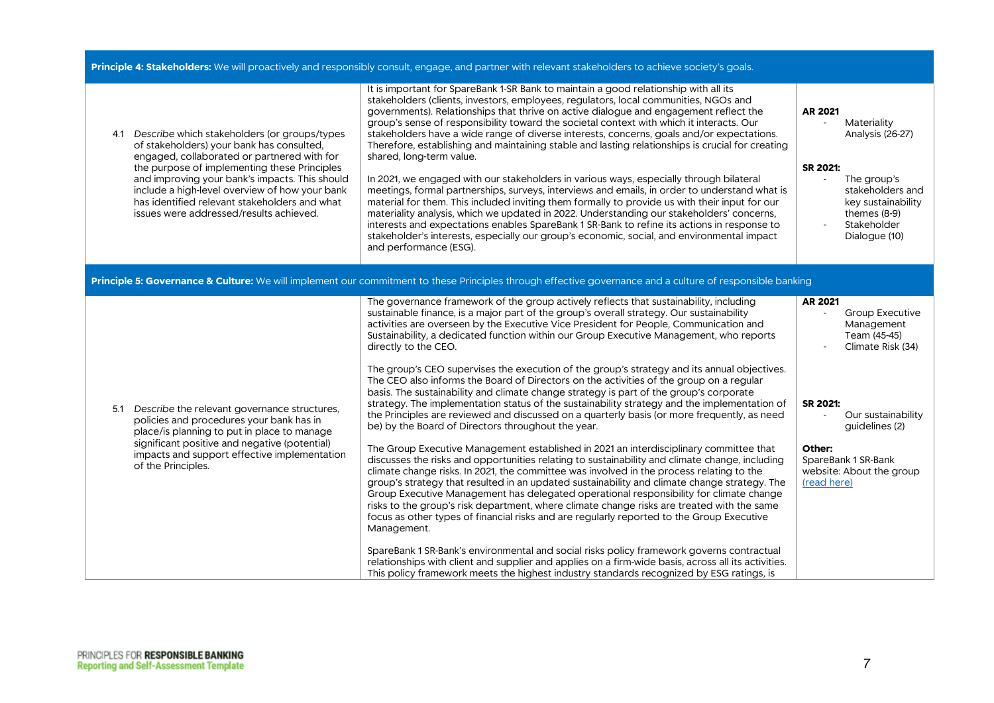| Principle 4: Stakeholders: We will proactively and responsibly consult, engage, and partner with relevant stakeholders to achieve society's goals.                                                                                                                                                                                                                                           |                                                                                                                                                                                                                                                                                                                                                                                                                                                                                                                                                                                                                                                                                                                                                                                                                                                                                                                                                                                                                                                                                                                                                                                                                                                                                                                                                                                                                                                                                                                                                                                                                                                                                                                                                                                                                                                                                                                                     |                                                                                                                                                                                                                      |  |
|----------------------------------------------------------------------------------------------------------------------------------------------------------------------------------------------------------------------------------------------------------------------------------------------------------------------------------------------------------------------------------------------|-------------------------------------------------------------------------------------------------------------------------------------------------------------------------------------------------------------------------------------------------------------------------------------------------------------------------------------------------------------------------------------------------------------------------------------------------------------------------------------------------------------------------------------------------------------------------------------------------------------------------------------------------------------------------------------------------------------------------------------------------------------------------------------------------------------------------------------------------------------------------------------------------------------------------------------------------------------------------------------------------------------------------------------------------------------------------------------------------------------------------------------------------------------------------------------------------------------------------------------------------------------------------------------------------------------------------------------------------------------------------------------------------------------------------------------------------------------------------------------------------------------------------------------------------------------------------------------------------------------------------------------------------------------------------------------------------------------------------------------------------------------------------------------------------------------------------------------------------------------------------------------------------------------------------------------|----------------------------------------------------------------------------------------------------------------------------------------------------------------------------------------------------------------------|--|
| 4.1 Describe which stakeholders (or groups/types<br>of stakeholders) your bank has consulted,<br>engaged, collaborated or partnered with for<br>the purpose of implementing these Principles<br>and improving your bank's impacts. This should<br>include a high-level overview of how your bank<br>has identified relevant stakeholders and what<br>issues were addressed/results achieved. | It is important for SpareBank 1-SR Bank to maintain a good relationship with all its<br>stakeholders (clients, investors, employees, regulators, local communities, NGOs and<br>governments). Relationships that thrive on active dialogue and engagement reflect the<br>group's sense of responsibility toward the societal context with which it interacts. Our<br>stakeholders have a wide range of diverse interests, concerns, goals and/or expectations.<br>Therefore, establishing and maintaining stable and lasting relationships is crucial for creating<br>shared, long-term value.<br>In 2021, we engaged with our stakeholders in various ways, especially through bilateral<br>meetings, formal partnerships, surveys, interviews and emails, in order to understand what is<br>material for them. This included inviting them formally to provide us with their input for our<br>materiality analysis, which we updated in 2022. Understanding our stakeholders' concerns,<br>interests and expectations enables SpareBank 1 SR-Bank to refine its actions in response to<br>stakeholder's interests, especially our group's economic, social, and environmental impact<br>and performance (ESG).                                                                                                                                                                                                                                                                                                                                                                                                                                                                                                                                                                                                                                                                                                                    | AR 2021<br>Materiality<br>$\overline{a}$<br>Analysis (26-27)<br>SR 2021:<br>The group's<br>$\sim$<br>stakeholders and<br>key sustainability<br>themes $(8-9)$<br>Stakeholder<br>Dialogue (10)                        |  |
|                                                                                                                                                                                                                                                                                                                                                                                              | Principle 5: Governance & Culture: We will implement our commitment to these Principles through effective governance and a culture of responsible banking                                                                                                                                                                                                                                                                                                                                                                                                                                                                                                                                                                                                                                                                                                                                                                                                                                                                                                                                                                                                                                                                                                                                                                                                                                                                                                                                                                                                                                                                                                                                                                                                                                                                                                                                                                           |                                                                                                                                                                                                                      |  |
| Describe the relevant governance structures,<br>5.1<br>policies and procedures your bank has in<br>place/is planning to put in place to manage<br>significant positive and negative (potential)<br>impacts and support effective implementation<br>of the Principles.                                                                                                                        | The governance framework of the group actively reflects that sustainability, including<br>sustainable finance, is a major part of the group's overall strategy. Our sustainability<br>activities are overseen by the Executive Vice President for People, Communication and<br>Sustainability, a dedicated function within our Group Executive Management, who reports<br>directly to the CEO.<br>The group's CEO supervises the execution of the group's strategy and its annual objectives.<br>The CEO also informs the Board of Directors on the activities of the group on a regular<br>basis. The sustainability and climate change strategy is part of the group's corporate<br>strategy. The implementation status of the sustainability strategy and the implementation of<br>the Principles are reviewed and discussed on a quarterly basis (or more frequently, as need<br>be) by the Board of Directors throughout the year.<br>The Group Executive Management established in 2021 an interdisciplinary committee that<br>discusses the risks and opportunities relating to sustainability and climate change, including<br>climate change risks. In 2021, the committee was involved in the process relating to the<br>group's strategy that resulted in an updated sustainability and climate change strategy. The<br>Group Executive Management has delegated operational responsibility for climate change<br>risks to the group's risk department, where climate change risks are treated with the same<br>focus as other types of financial risks and are regularly reported to the Group Executive<br>Management.<br>SpareBank 1 SR-Bank's environmental and social risks policy framework governs contractual<br>relationships with client and supplier and applies on a firm-wide basis, across all its activities.<br>This policy framework meets the highest industry standards recognized by ESG ratings, is | <b>AR 2021</b><br>Group Executive<br>Management<br>Team (45-45)<br>Climate Risk (34)<br>SR 2021:<br>Our sustainability<br>quidelines (2)<br>Other:<br>SpareBank 1 SR-Bank<br>website: About the group<br>(read here) |  |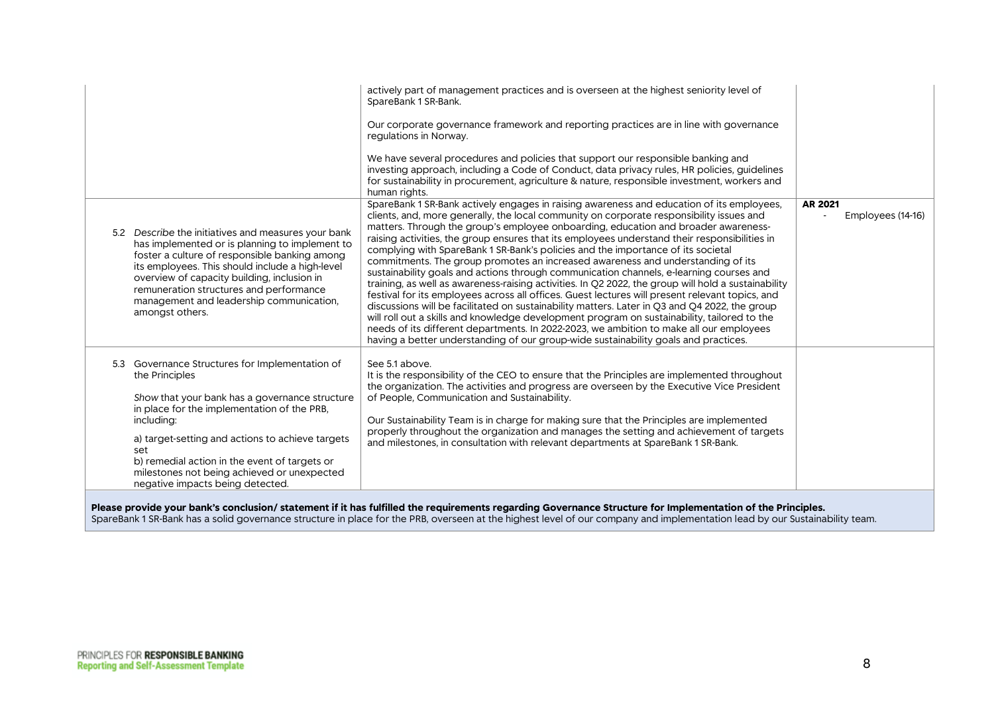|                                                                                                                                                                                                                                                                                                                                                                                 | actively part of management practices and is overseen at the highest seniority level of<br>SpareBank 1 SR-Bank.<br>Our corporate governance framework and reporting practices are in line with governance<br>regulations in Norway.<br>We have several procedures and policies that support our responsible banking and<br>investing approach, including a Code of Conduct, data privacy rules, HR policies, guidelines<br>for sustainability in procurement, agriculture & nature, responsible investment, workers and<br>human rights.                                                                                                                                                                                                                                                                                                                                                                                                                                                                                                                                                                                                                                                                                                   |                              |
|---------------------------------------------------------------------------------------------------------------------------------------------------------------------------------------------------------------------------------------------------------------------------------------------------------------------------------------------------------------------------------|--------------------------------------------------------------------------------------------------------------------------------------------------------------------------------------------------------------------------------------------------------------------------------------------------------------------------------------------------------------------------------------------------------------------------------------------------------------------------------------------------------------------------------------------------------------------------------------------------------------------------------------------------------------------------------------------------------------------------------------------------------------------------------------------------------------------------------------------------------------------------------------------------------------------------------------------------------------------------------------------------------------------------------------------------------------------------------------------------------------------------------------------------------------------------------------------------------------------------------------------|------------------------------|
| 5.2 Describe the initiatives and measures your bank<br>has implemented or is planning to implement to<br>foster a culture of responsible banking among<br>its employees. This should include a high-level<br>overview of capacity building, inclusion in<br>remuneration structures and performance<br>management and leadership communication,<br>amongst others.              | SpareBank 1 SR-Bank actively engages in raising awareness and education of its employees,<br>clients, and, more generally, the local community on corporate responsibility issues and<br>matters. Through the group's employee onboarding, education and broader awareness-<br>raising activities, the group ensures that its employees understand their responsibilities in<br>complying with SpareBank 1 SR-Bank's policies and the importance of its societal<br>commitments. The group promotes an increased awareness and understanding of its<br>sustainability goals and actions through communication channels, e-learning courses and<br>training, as well as awareness-raising activities. In Q2 2022, the group will hold a sustainability<br>festival for its employees across all offices. Guest lectures will present relevant topics, and<br>discussions will be facilitated on sustainability matters. Later in Q3 and Q4 2022, the group<br>will roll out a skills and knowledge development program on sustainability, tailored to the<br>needs of its different departments. In 2022-2023, we ambition to make all our employees<br>having a better understanding of our group-wide sustainability goals and practices. | AR 2021<br>Employees (14-16) |
| 5.3 Governance Structures for Implementation of<br>the Principles<br>Show that your bank has a governance structure<br>in place for the implementation of the PRB,<br>including:<br>a) target-setting and actions to achieve targets<br>set<br>b) remedial action in the event of targets or<br>milestones not being achieved or unexpected<br>negative impacts being detected. | See 5.1 above.<br>It is the responsibility of the CEO to ensure that the Principles are implemented throughout<br>the organization. The activities and progress are overseen by the Executive Vice President<br>of People, Communication and Sustainability.<br>Our Sustainability Team is in charge for making sure that the Principles are implemented<br>properly throughout the organization and manages the setting and achievement of targets<br>and milestones, in consultation with relevant departments at SpareBank 1 SR-Bank.                                                                                                                                                                                                                                                                                                                                                                                                                                                                                                                                                                                                                                                                                                   |                              |

**Please provide your bank's conclusion/ statement if it has fulfilled the requirements regarding Governance Structure for Implementation of the Principles.**

SpareBank 1 SR-Bank has a solid governance structure in place for the PRB, overseen at the highest level of our company and implementation lead by our Sustainability team.